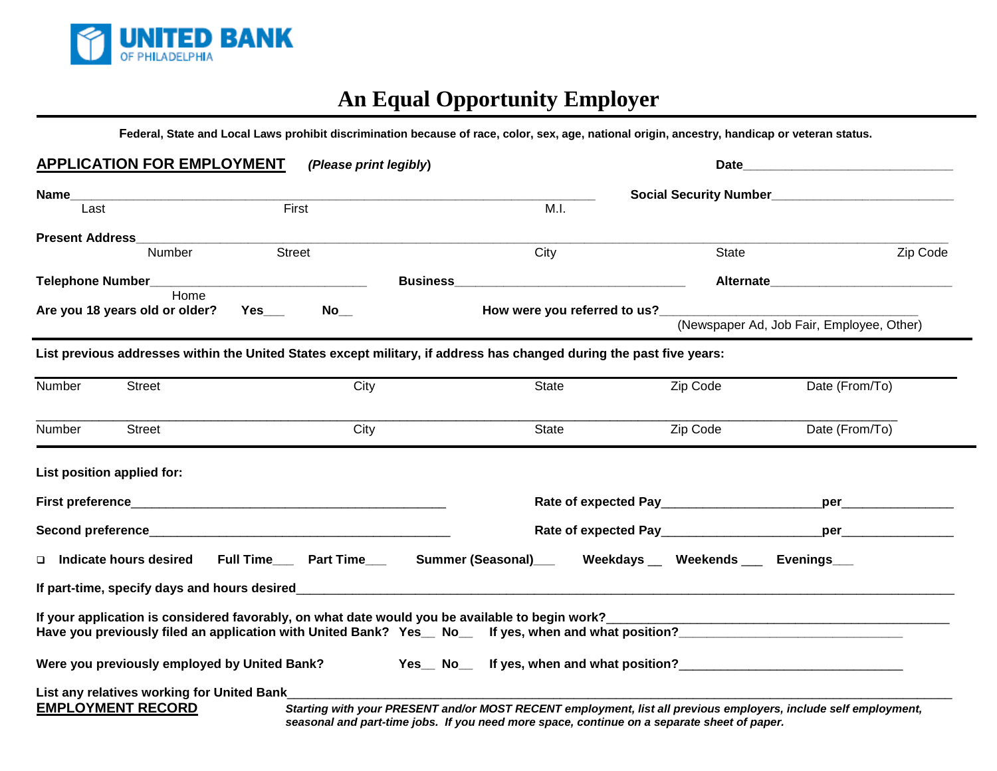

# **An Equal Opportunity Employer**

**Federal, State and Local Laws prohibit discrimination because of race, color, sex, age, national origin, ancestry, handicap or veteran status.**

| <b>APPLICATION FOR EMPLOYMENT</b>                                                                                    | (Please print legibly)     |              | Date_                                                                                       |                                                                                                                                                                                                                                     |
|----------------------------------------------------------------------------------------------------------------------|----------------------------|--------------|---------------------------------------------------------------------------------------------|-------------------------------------------------------------------------------------------------------------------------------------------------------------------------------------------------------------------------------------|
| Name__<br>Last                                                                                                       | First                      | M.I.         |                                                                                             |                                                                                                                                                                                                                                     |
| <b>Present Address Present Address</b>                                                                               |                            |              |                                                                                             |                                                                                                                                                                                                                                     |
| Number                                                                                                               | <b>Street</b>              | City         | State                                                                                       | Zip Code                                                                                                                                                                                                                            |
|                                                                                                                      |                            |              |                                                                                             | <b>Alternate</b> and the state of the state of the state of the state of the state of the state of the state of the state of the state of the state of the state of the state of the state of the state of the state of the state o |
| Home<br>Are you 18 years old or older?                                                                               | $No$ <sub>___</sub><br>Yes |              |                                                                                             | (Newspaper Ad, Job Fair, Employee, Other)                                                                                                                                                                                           |
| List previous addresses within the United States except military, if address has changed during the past five years: |                            |              |                                                                                             |                                                                                                                                                                                                                                     |
| Number<br><b>Street</b>                                                                                              | City                       | <b>State</b> | Zip Code                                                                                    | Date (From/To)                                                                                                                                                                                                                      |
| Number<br><b>Street</b>                                                                                              | City                       | State        | Zip Code                                                                                    | Date (From/To)                                                                                                                                                                                                                      |
| List position applied for:                                                                                           |                            |              |                                                                                             |                                                                                                                                                                                                                                     |
|                                                                                                                      |                            |              |                                                                                             |                                                                                                                                                                                                                                     |
|                                                                                                                      |                            |              |                                                                                             | <b>per</b> 2008                                                                                                                                                                                                                     |
| Indicate hours desired Full Time___ Part Time___ Summer (Seasonal)___ Weekdays __ Weekends ___ Evenings___<br>o      |                            |              |                                                                                             |                                                                                                                                                                                                                                     |
|                                                                                                                      |                            |              |                                                                                             |                                                                                                                                                                                                                                     |
|                                                                                                                      |                            |              |                                                                                             |                                                                                                                                                                                                                                     |
| Were you previously employed by United Bank? Yes_No_ff yes, when and what position?                                  |                            |              |                                                                                             |                                                                                                                                                                                                                                     |
| List any relatives working for United Bank<br><b>EMPLOYMENT RECORD</b>                                               |                            |              | seasonal and part-time jobs. If you need more space, continue on a separate sheet of paper. | Starting with your PRESENT and/or MOST RECENT employment, list all previous employers, include self employment,                                                                                                                     |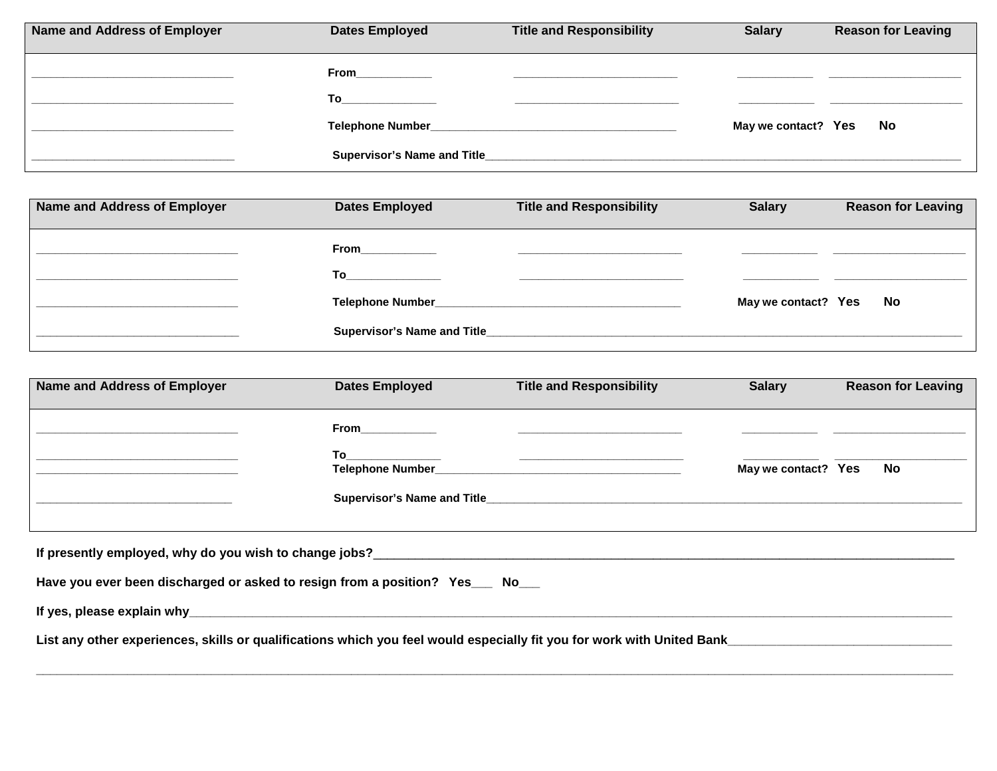| <b>Name and Address of Employer</b> | <b>Dates Employed</b>                                                                                                                                                                                                               | <b>Title and Responsibility</b>                                                                                                                                                                                               | <b>Salary</b>       | <b>Reason for Leaving</b> |
|-------------------------------------|-------------------------------------------------------------------------------------------------------------------------------------------------------------------------------------------------------------------------------------|-------------------------------------------------------------------------------------------------------------------------------------------------------------------------------------------------------------------------------|---------------------|---------------------------|
|                                     | From_____________                                                                                                                                                                                                                   | the control of the control of the control of the control of the control of the control of the control of the control of the control of the control of the control of the control of the control of the control of the control |                     |                           |
|                                     | <b>To</b> the contract of the contract of the contract of the contract of the contract of the contract of the contract of the contract of the contract of the contract of the contract of the contract of the contract of the contr | <u> 1980 - Andrea State Barbara, amerikan personal di sebagai personal di sebagai personal di sebagai personal di</u>                                                                                                         |                     |                           |
|                                     |                                                                                                                                                                                                                                     |                                                                                                                                                                                                                               | May we contact? Yes | - No                      |
|                                     | <b>Supervisor's Name and Title</b>                                                                                                                                                                                                  |                                                                                                                                                                                                                               |                     |                           |

| <b>Name and Address of Employer</b> | <b>Dates Employed</b>                                                                                                                                                                                                               | <b>Title and Responsibility</b> | <b>Salary</b>       | <b>Reason for Leaving</b> |
|-------------------------------------|-------------------------------------------------------------------------------------------------------------------------------------------------------------------------------------------------------------------------------------|---------------------------------|---------------------|---------------------------|
|                                     | From____________                                                                                                                                                                                                                    |                                 |                     |                           |
|                                     | <b>To</b> the contract of the contract of the contract of the contract of the contract of the contract of the contract of the contract of the contract of the contract of the contract of the contract of the contract of the contr |                                 |                     |                           |
|                                     |                                                                                                                                                                                                                                     |                                 | May we contact? Yes | <b>No</b>                 |
|                                     | <b>Supervisor's Name and Title</b>                                                                                                                                                                                                  |                                 |                     |                           |

| <b>Name and Address of Employer</b>                                            | <b>Dates Employed</b>                                                                                                                                                                                                               | <b>Title and Responsibility</b> | <b>Salary</b>       | <b>Reason for Leaving</b> |
|--------------------------------------------------------------------------------|-------------------------------------------------------------------------------------------------------------------------------------------------------------------------------------------------------------------------------------|---------------------------------|---------------------|---------------------------|
|                                                                                |                                                                                                                                                                                                                                     |                                 |                     |                           |
|                                                                                | <b>To</b> the contract of the contract of the contract of the contract of the contract of the contract of the contract of the contract of the contract of the contract of the contract of the contract of the contract of the contr |                                 |                     |                           |
|                                                                                |                                                                                                                                                                                                                                     |                                 | May we contact? Yes | No                        |
|                                                                                |                                                                                                                                                                                                                                     |                                 |                     |                           |
|                                                                                |                                                                                                                                                                                                                                     |                                 |                     |                           |
| If presently employed, why do you wish to change jobs?                         |                                                                                                                                                                                                                                     |                                 |                     |                           |
| Have you ever been discharged or asked to resign from a position? Yes___ No___ |                                                                                                                                                                                                                                     |                                 |                     |                           |
|                                                                                |                                                                                                                                                                                                                                     |                                 |                     |                           |

**\_\_\_\_\_\_\_\_\_\_\_\_\_\_\_\_\_\_\_\_\_\_\_\_\_\_\_\_\_\_\_\_\_\_\_\_\_\_\_\_\_\_\_\_\_\_\_\_\_\_\_\_\_\_\_\_\_\_\_\_\_\_\_\_\_\_\_\_\_\_\_\_\_\_\_\_\_\_\_\_\_\_\_\_\_\_\_\_\_\_\_\_\_\_\_\_\_\_\_\_\_\_\_\_\_\_\_\_\_\_\_\_\_\_\_\_\_\_\_\_\_\_\_\_\_\_\_\_\_\_\_**

**List any other experiences, skills or qualifications which you feel would especially fit you for work with United Bank\_\_\_\_\_\_\_\_\_\_\_\_\_\_\_\_\_\_\_\_\_\_\_\_\_\_\_\_\_\_\_\_**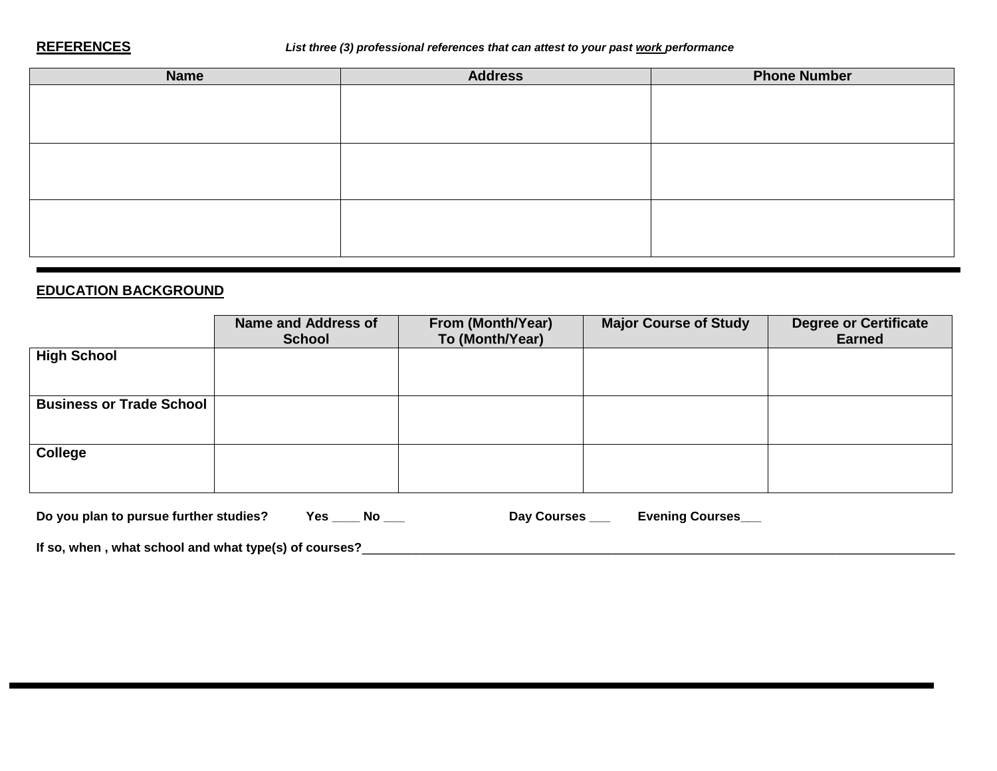#### **REFERENCES** *List three (3) professional references that can attest to your past work performance*

| <b>Name</b> | <b>Address</b> | <b>Phone Number</b> |
|-------------|----------------|---------------------|
|             |                |                     |
|             |                |                     |
|             |                |                     |
|             |                |                     |
|             |                |                     |
|             |                |                     |
|             |                |                     |
|             |                |                     |
|             |                |                     |

#### **EDUCATION BACKGROUND**

|                                 | <b>Name and Address of</b><br><b>School</b> | From (Month/Year)<br>To (Month/Year) | <b>Major Course of Study</b> | <b>Degree or Certificate</b><br><b>Earned</b> |
|---------------------------------|---------------------------------------------|--------------------------------------|------------------------------|-----------------------------------------------|
| <b>High School</b>              |                                             |                                      |                              |                                               |
| <b>Business or Trade School</b> |                                             |                                      |                              |                                               |
| <b>College</b>                  |                                             |                                      |                              |                                               |

| Do you plan to pursue further studies? |  |  | Day Courses | <b>Evening Courses</b> |
|----------------------------------------|--|--|-------------|------------------------|
|----------------------------------------|--|--|-------------|------------------------|

**If so, when , what school and what type(s) of courses?**\_\_\_\_\_\_\_\_\_\_\_\_\_\_\_\_\_\_\_\_\_\_\_\_\_\_\_\_\_\_\_\_\_\_\_\_\_\_\_\_\_\_\_\_\_\_\_\_\_\_\_\_\_\_\_\_\_\_\_\_\_\_\_\_\_\_\_\_\_\_\_\_\_\_\_\_\_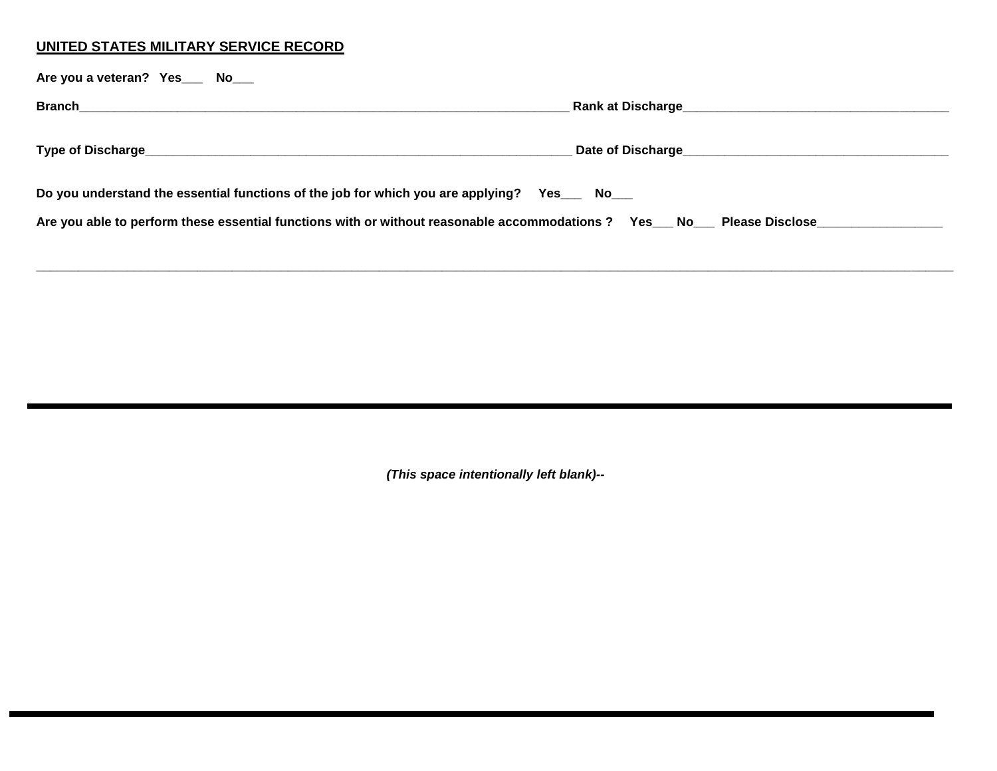## **UNITED STATES MILITARY SERVICE RECORD**

| Are you a veteran? Yes ___ No___                                                                                       |  |
|------------------------------------------------------------------------------------------------------------------------|--|
| <b>Branch</b>                                                                                                          |  |
|                                                                                                                        |  |
| Do you understand the essential functions of the job for which you are applying? Yes __ No__                           |  |
| Are you able to perform these essential functions with or without reasonable accommodations? Yes__No__Please Disclose_ |  |

**\_\_\_\_\_\_\_\_\_\_\_\_\_\_\_\_\_\_\_\_\_\_\_\_\_\_\_\_\_\_\_\_\_\_\_\_\_\_\_\_\_\_\_\_\_\_\_\_\_\_\_\_\_\_\_\_\_\_\_\_\_\_\_\_\_\_\_\_\_\_\_\_\_\_\_\_\_\_\_\_\_\_\_\_\_\_\_\_\_\_\_\_\_\_\_\_\_\_\_\_\_\_\_\_\_\_\_\_\_\_\_\_\_\_\_\_\_\_\_\_\_\_\_\_\_\_\_\_\_\_\_**

*(This space intentionally left blank)--*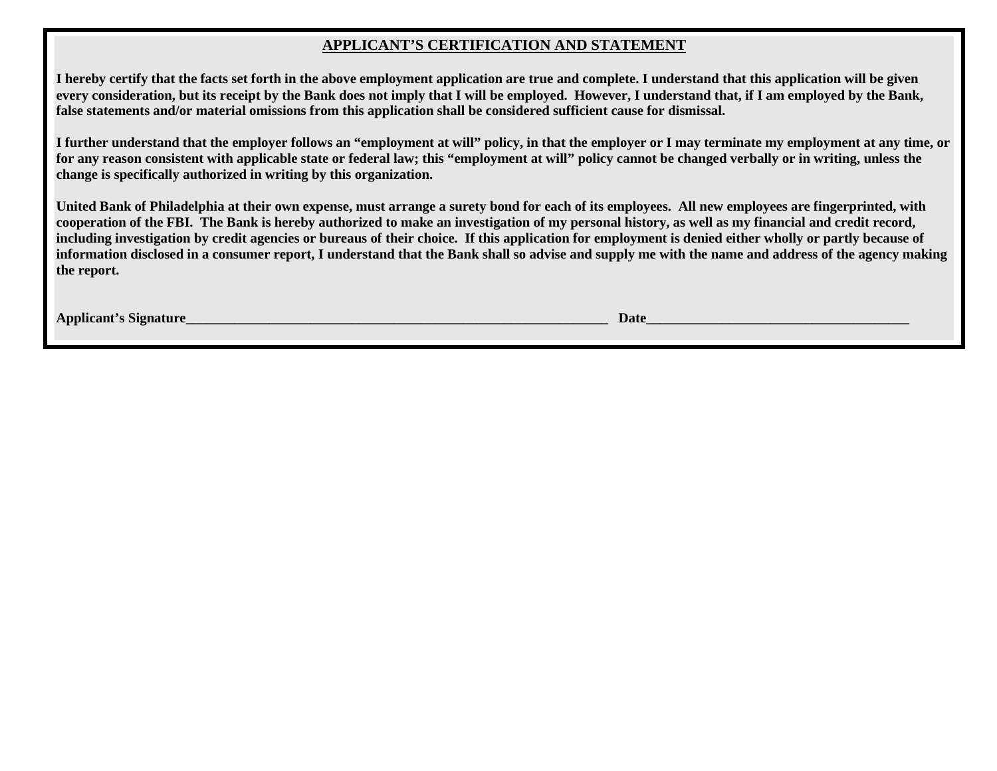#### **APPLICANT'S CERTIFICATION AND STATEMENT**

**I hereby certify that the facts set forth in the above employment application are true and complete. I understand that this application will be given every consideration, but its receipt by the Bank does not imply that I will be employed. However, I understand that, if I am employed by the Bank, false statements and/or material omissions from this application shall be considered sufficient cause for dismissal.**

**I further understand that the employer follows an "employment at will" policy, in that the employer or I may terminate my employment at any time, or for any reason consistent with applicable state or federal law; this "employment at will" policy cannot be changed verbally or in writing, unless the change is specifically authorized in writing by this organization.**

**United Bank of Philadelphia at their own expense, must arrange a surety bond for each of its employees. All new employees are fingerprinted, with cooperation of the FBI. The Bank is hereby authorized to make an investigation of my personal history, as well as my financial and credit record, including investigation by credit agencies or bureaus of their choice. If this application for employment is denied either wholly or partly because of information disclosed in a consumer report, I understand that the Bank shall so advise and supply me with the name and address of the agency making the report.**

**Applicant's Signature**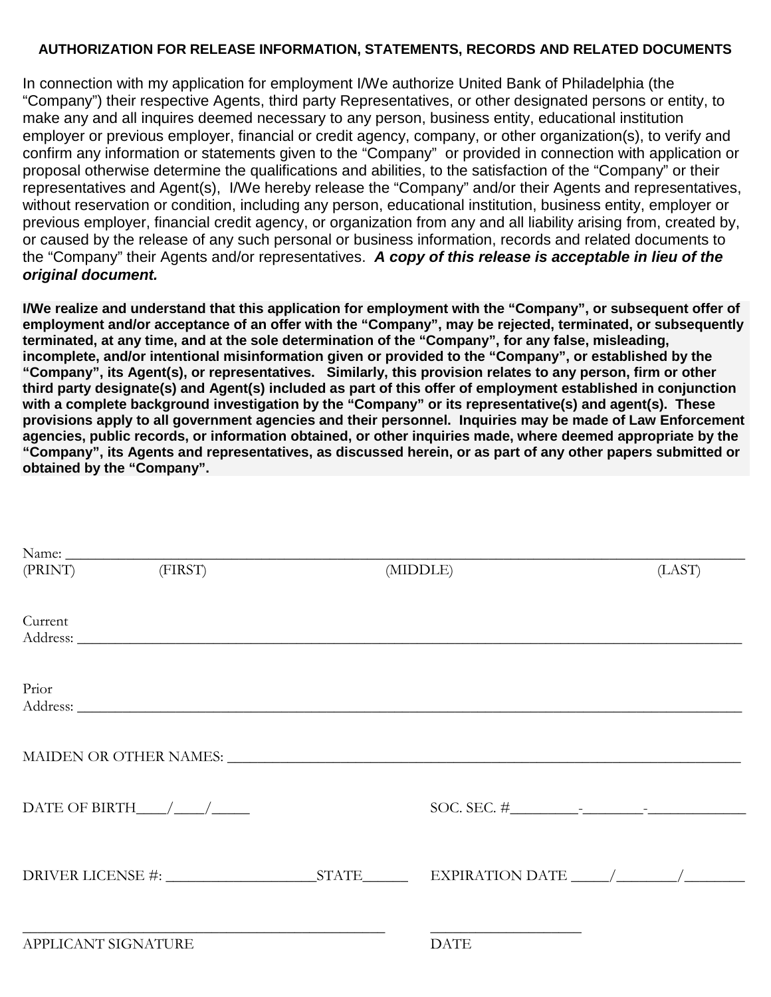#### **AUTHORIZATION FOR RELEASE INFORMATION, STATEMENTS, RECORDS AND RELATED DOCUMENTS**

In connection with my application for employment I/We authorize United Bank of Philadelphia (the "Company") their respective Agents, third party Representatives, or other designated persons or entity, to make any and all inquires deemed necessary to any person, business entity, educational institution employer or previous employer, financial or credit agency, company, or other organization(s), to verify and confirm any information or statements given to the "Company" or provided in connection with application or proposal otherwise determine the qualifications and abilities, to the satisfaction of the "Company" or their representatives and Agent(s), I/We hereby release the "Company" and/or their Agents and representatives, without reservation or condition, including any person, educational institution, business entity, employer or previous employer, financial credit agency, or organization from any and all liability arising from, created by, or caused by the release of any such personal or business information, records and related documents to the "Company" their Agents and/or representatives. *A copy of this release is acceptable in lieu of the original document.*

**I/We realize and understand that this application for employment with the "Company", or subsequent offer of employment and/or acceptance of an offer with the "Company", may be rejected, terminated, or subsequently terminated, at any time, and at the sole determination of the "Company", for any false, misleading, incomplete, and/or intentional misinformation given or provided to the "Company", or established by the "Company", its Agent(s), or representatives. Similarly, this provision relates to any person, firm or other third party designate(s) and Agent(s) included as part of this offer of employment established in conjunction with a complete background investigation by the "Company" or its representative(s) and agent(s). These provisions apply to all government agencies and their personnel. Inquiries may be made of Law Enforcement agencies, public records, or information obtained, or other inquiries made, where deemed appropriate by the "Company", its Agents and representatives, as discussed herein, or as part of any other papers submitted or obtained by the "Company".**

|                     | (PRINT) (FIRST)                        | (MIDDLE)                      | (LAST) |
|---------------------|----------------------------------------|-------------------------------|--------|
| Current             |                                        |                               |        |
|                     |                                        |                               |        |
|                     |                                        |                               |        |
| Prior               |                                        |                               |        |
|                     |                                        |                               |        |
|                     |                                        |                               |        |
|                     |                                        |                               |        |
|                     |                                        | MAIDEN OR OTHER NAMES: NAMES: |        |
|                     |                                        |                               |        |
|                     | DATE OF BIRTH $\_\_\_\_\_\_\_\_\_\_\_$ |                               |        |
|                     |                                        |                               |        |
|                     |                                        |                               |        |
|                     |                                        |                               |        |
|                     |                                        |                               |        |
| APPLICANT SIGNATURE |                                        | <b>DATE</b>                   |        |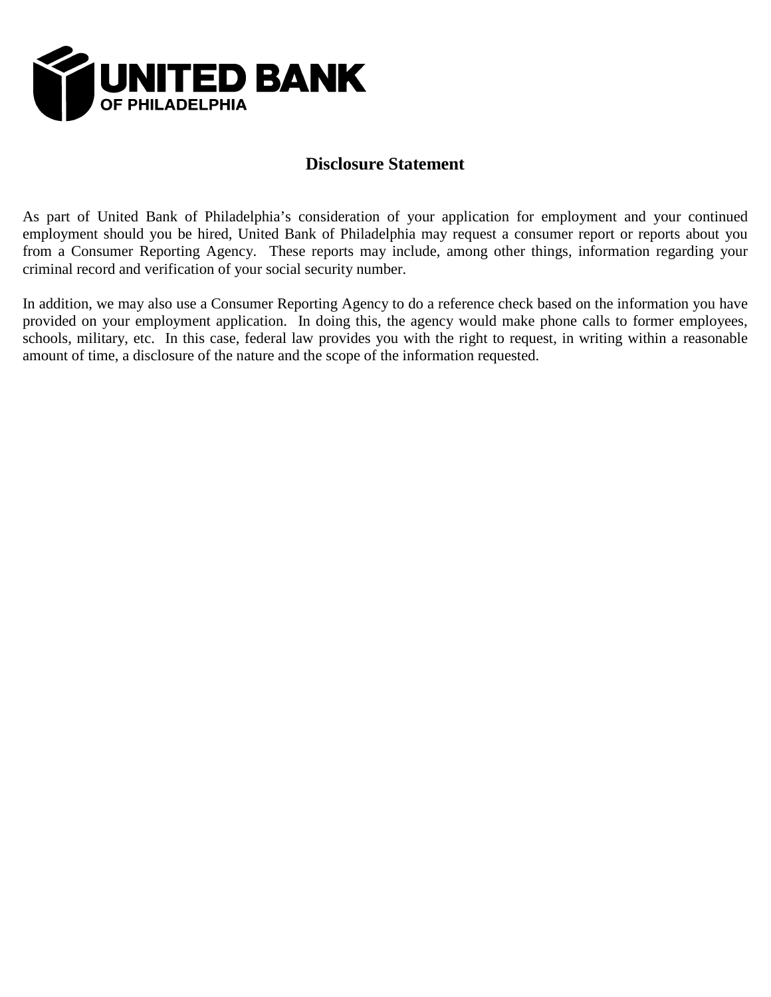

# **Disclosure Statement**

As part of United Bank of Philadelphia's consideration of your application for employment and your continued employment should you be hired, United Bank of Philadelphia may request a consumer report or reports about you from a Consumer Reporting Agency. These reports may include, among other things, information regarding your criminal record and verification of your social security number.

In addition, we may also use a Consumer Reporting Agency to do a reference check based on the information you have provided on your employment application. In doing this, the agency would make phone calls to former employees, schools, military, etc. In this case, federal law provides you with the right to request, in writing within a reasonable amount of time, a disclosure of the nature and the scope of the information requested.